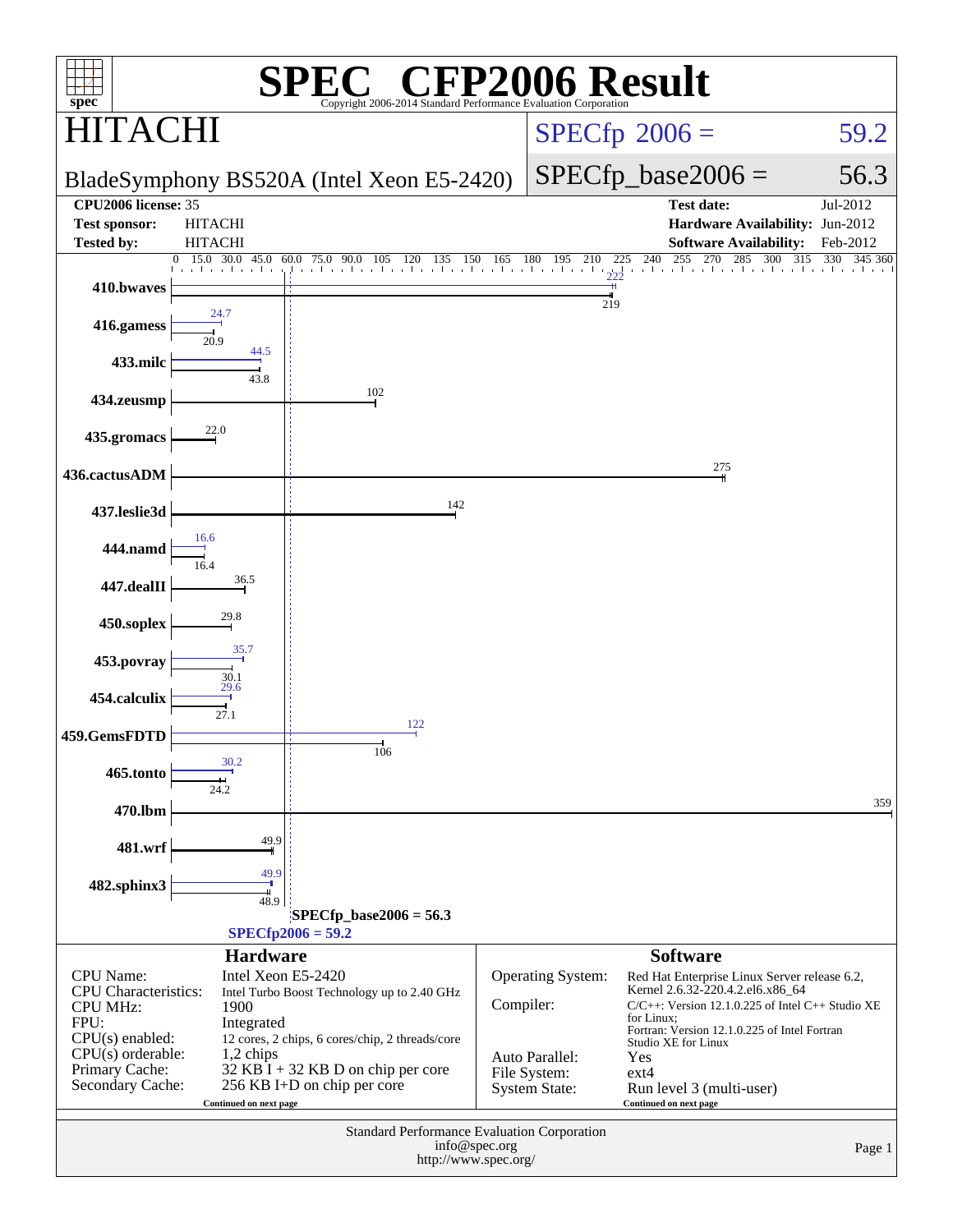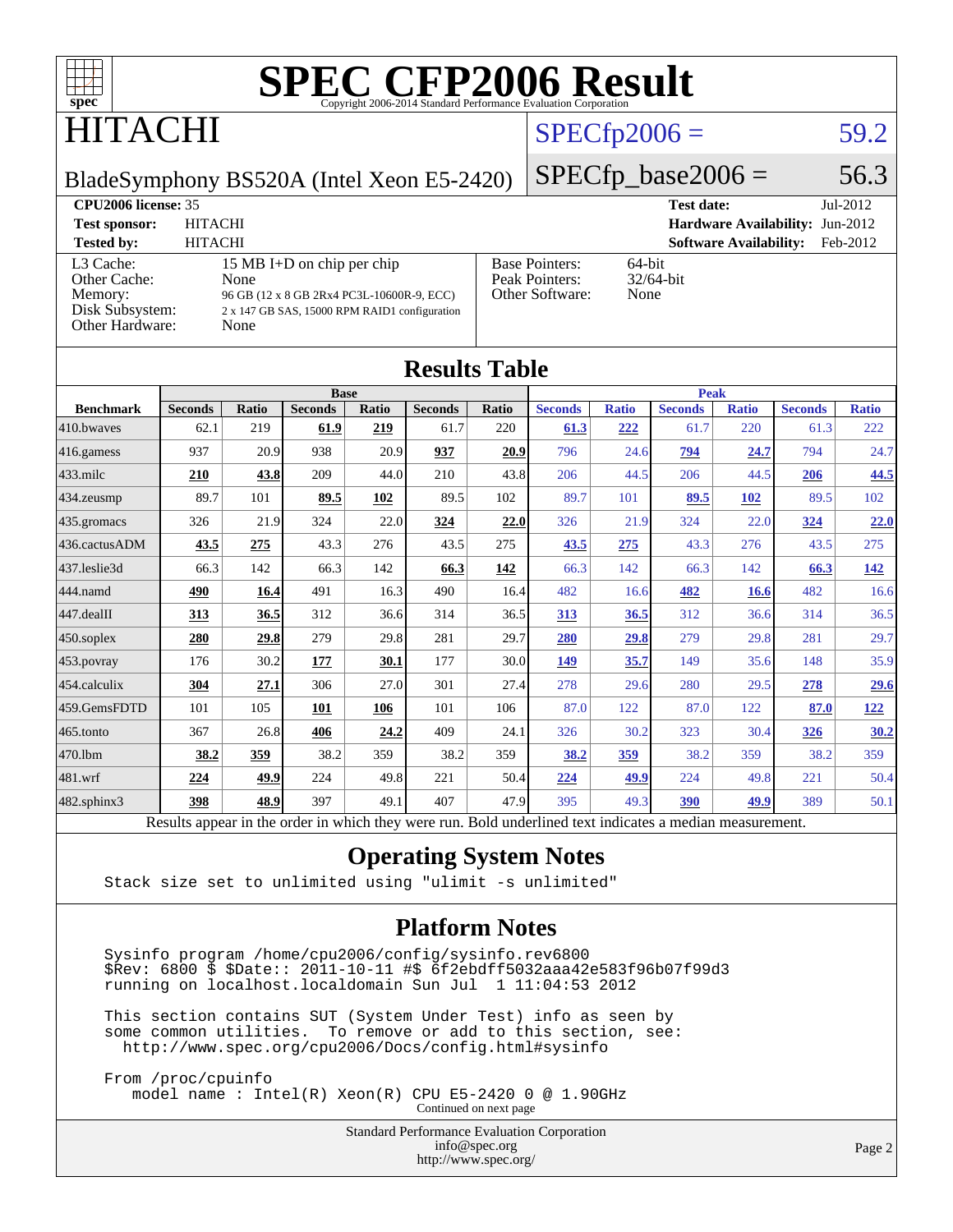

### **TACHI**

#### $SPECfp2006 = 59.2$  $SPECfp2006 = 59.2$

BladeSymphony BS520A (Intel Xeon E5-2420)

 $SPECfp\_base2006 = 56.3$ 

| <b>CPU2006 license: 35</b>                                                 |                                                                                                                                          |                                                            | <b>Test date:</b><br>$Jul-2012$           |
|----------------------------------------------------------------------------|------------------------------------------------------------------------------------------------------------------------------------------|------------------------------------------------------------|-------------------------------------------|
| <b>Test sponsor:</b>                                                       | <b>HITACHI</b>                                                                                                                           |                                                            | Hardware Availability: Jun-2012           |
| <b>Tested by:</b>                                                          | <b>HITACHI</b>                                                                                                                           |                                                            | <b>Software Availability:</b><br>Feb-2012 |
| L3 Cache:<br>Other Cache:<br>Memory:<br>Disk Subsystem:<br>Other Hardware: | 15 MB I+D on chip per chip<br>None<br>96 GB (12 x 8 GB 2Rx4 PC3L-10600R-9, ECC)<br>2 x 147 GB SAS, 15000 RPM RAID1 configuration<br>None | <b>Base Pointers:</b><br>Peak Pointers:<br>Other Software: | $64$ -bit<br>$32/64$ -bit<br>None         |

|                  |                                                                                                          |              |                |       | <b>Results Table</b> |       |                |              |                |              |                |              |
|------------------|----------------------------------------------------------------------------------------------------------|--------------|----------------|-------|----------------------|-------|----------------|--------------|----------------|--------------|----------------|--------------|
|                  | <b>Base</b>                                                                                              |              |                |       | <b>Peak</b>          |       |                |              |                |              |                |              |
| <b>Benchmark</b> | <b>Seconds</b>                                                                                           | <b>Ratio</b> | <b>Seconds</b> | Ratio | <b>Seconds</b>       | Ratio | <b>Seconds</b> | <b>Ratio</b> | <b>Seconds</b> | <b>Ratio</b> | <b>Seconds</b> | <b>Ratio</b> |
| 410.bwayes       | 62.1                                                                                                     | 219          | 61.9           | 219   | 61.7                 | 220   | 61.3           | 222          | 61.7           | 220          | 61.3           | 222          |
| 416.gamess       | 937                                                                                                      | 20.9         | 938            | 20.9  | 937                  | 20.9  | 796            | 24.6         | 794            | 24.7         | 794            | 24.7         |
| $433$ .milc      | 210                                                                                                      | 43.8         | 209            | 44.0  | 210                  | 43.8  | 206            | 44.5         | 206            | 44.5         | 206            | 44.5         |
| 434.zeusmp       | 89.7                                                                                                     | 101          | 89.5           | 102   | 89.5                 | 102   | 89.7           | 101          | 89.5           | 102          | 89.5           | 102          |
| 435.gromacs      | 326                                                                                                      | 21.9         | 324            | 22.0  | 324                  | 22.0  | 326            | 21.9         | 324            | 22.0         | 324            | 22.0         |
| 436.cactusADM    | 43.5                                                                                                     | 275          | 43.3           | 276   | 43.5                 | 275   | 43.5           | 275          | 43.3           | 276          | 43.5           | 275          |
| 437.leslie3d     | 66.3                                                                                                     | 142          | 66.3           | 142   | 66.3                 | 142   | 66.3           | 142          | 66.3           | 142          | 66.3           | <u>142</u>   |
| 444.namd         | 490                                                                                                      | 16.4         | 491            | 16.3  | 490                  | 16.4  | 482            | 16.6         | 482            | 16.6         | 482            | 16.6         |
| 447.dealII       | 313                                                                                                      | 36.5         | 312            | 36.6  | 314                  | 36.5  | 313            | 36.5         | 312            | 36.6         | 314            | 36.5         |
| 450.soplex       | 280                                                                                                      | 29.8         | 279            | 29.8  | 281                  | 29.7  | 280            | 29.8         | 279            | 29.8         | 281            | 29.7         |
| 453.povray       | 176                                                                                                      | 30.2         | 177            | 30.1  | 177                  | 30.0  | 149            | 35.7         | 149            | 35.6         | 148            | 35.9         |
| 454.calculix     | 304                                                                                                      | 27.1         | 306            | 27.0  | 301                  | 27.4  | 278            | 29.6         | 280            | 29.5         | 278            | <u>29.6</u>  |
| 459.GemsFDTD     | 101                                                                                                      | 105          | 101            | 106   | 101                  | 106   | 87.0           | 122          | 87.0           | 122          | 87.0           | <u>122</u>   |
| 465.tonto        | 367                                                                                                      | 26.8         | 406            | 24.2  | 409                  | 24.1  | 326            | 30.2         | 323            | 30.4         | 326            | 30.2         |
| 470.1bm          | 38.2                                                                                                     | 359          | 38.2           | 359   | 38.2                 | 359   | 38.2           | 359          | 38.2           | 359          | 38.2           | 359          |
| 481.wrf          | 224                                                                                                      | 49.9         | 224            | 49.8  | 221                  | 50.4  | 224            | 49.9         | 224            | 49.8         | 221            | 50.4         |
| 482.sphinx3      | 398                                                                                                      | 48.9         | 397            | 49.1  | 407                  | 47.9  | 395            | 49.3         | 390            | 49.9         | 389            | 50.1         |
|                  | Results appear in the order in which they were run. Bold underlined text indicates a median measurement. |              |                |       |                      |       |                |              |                |              |                |              |

#### **[Operating System Notes](http://www.spec.org/auto/cpu2006/Docs/result-fields.html#OperatingSystemNotes)**

Stack size set to unlimited using "ulimit -s unlimited"

#### **[Platform Notes](http://www.spec.org/auto/cpu2006/Docs/result-fields.html#PlatformNotes)**

 Sysinfo program /home/cpu2006/config/sysinfo.rev6800 \$Rev: 6800 \$ \$Date:: 2011-10-11 #\$ 6f2ebdff5032aaa42e583f96b07f99d3 running on localhost.localdomain Sun Jul 1 11:04:53 2012

 This section contains SUT (System Under Test) info as seen by some common utilities. To remove or add to this section, see: <http://www.spec.org/cpu2006/Docs/config.html#sysinfo>

 From /proc/cpuinfo model name : Intel(R) Xeon(R) CPU E5-2420 0 @ 1.90GHz Continued on next page

> Standard Performance Evaluation Corporation [info@spec.org](mailto:info@spec.org) <http://www.spec.org/>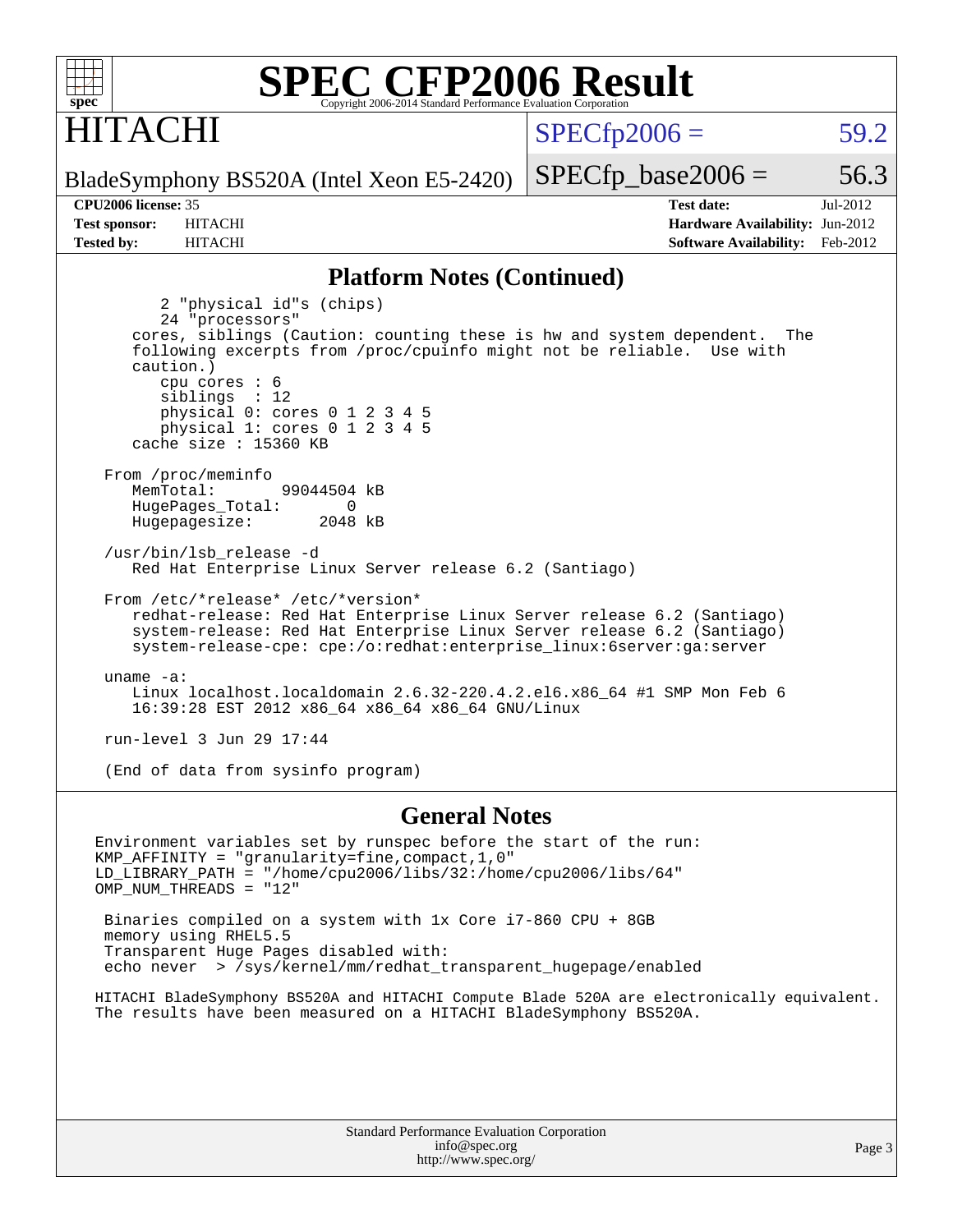

### **ITACHI**

 $SPECTp2006 = 59.2$ 

BladeSymphony BS520A (Intel Xeon E5-2420)

**[Tested by:](http://www.spec.org/auto/cpu2006/Docs/result-fields.html#Testedby)** HITACHI **[Software Availability:](http://www.spec.org/auto/cpu2006/Docs/result-fields.html#SoftwareAvailability)** Feb-2012

**[CPU2006 license:](http://www.spec.org/auto/cpu2006/Docs/result-fields.html#CPU2006license)** 35 **[Test date:](http://www.spec.org/auto/cpu2006/Docs/result-fields.html#Testdate)** Jul-2012 **[Test sponsor:](http://www.spec.org/auto/cpu2006/Docs/result-fields.html#Testsponsor)** HITACHI **[Hardware Availability:](http://www.spec.org/auto/cpu2006/Docs/result-fields.html#HardwareAvailability)** Jun-2012

 $SPECTp\_base2006 = 56.3$ 

#### **[Platform Notes \(Continued\)](http://www.spec.org/auto/cpu2006/Docs/result-fields.html#PlatformNotes)**

 2 "physical id"s (chips) 24 "processors" cores, siblings (Caution: counting these is hw and system dependent. The following excerpts from /proc/cpuinfo might not be reliable. Use with caution.) cpu cores : 6 siblings : 12 physical 0: cores 0 1 2 3 4 5 physical 1: cores 0 1 2 3 4 5 cache size : 15360 KB From /proc/meminfo MemTotal: 99044504 kB HugePages\_Total: 0<br>Hugepagesize: 2048 kB Hugepagesize: /usr/bin/lsb\_release -d Red Hat Enterprise Linux Server release 6.2 (Santiago) From /etc/\*release\* /etc/\*version\* redhat-release: Red Hat Enterprise Linux Server release 6.2 (Santiago) system-release: Red Hat Enterprise Linux Server release 6.2 (Santiago) system-release-cpe: cpe:/o:redhat:enterprise\_linux:6server:ga:server uname -a: Linux localhost.localdomain 2.6.32-220.4.2.el6.x86\_64 #1 SMP Mon Feb 6 16:39:28 EST 2012 x86\_64 x86\_64 x86\_64 GNU/Linux run-level 3 Jun 29 17:44 (End of data from sysinfo program)

**[General Notes](http://www.spec.org/auto/cpu2006/Docs/result-fields.html#GeneralNotes)**

Environment variables set by runspec before the start of the run: KMP\_AFFINITY = "granularity=fine,compact,1,0" LD\_LIBRARY\_PATH = "/home/cpu2006/libs/32:/home/cpu2006/libs/64" OMP\_NUM\_THREADS = "12" Binaries compiled on a system with 1x Core i7-860 CPU + 8GB memory using RHEL5.5

 Transparent Huge Pages disabled with: echo never > /sys/kernel/mm/redhat\_transparent\_hugepage/enabled

HITACHI BladeSymphony BS520A and HITACHI Compute Blade 520A are electronically equivalent. The results have been measured on a HITACHI BladeSymphony BS520A.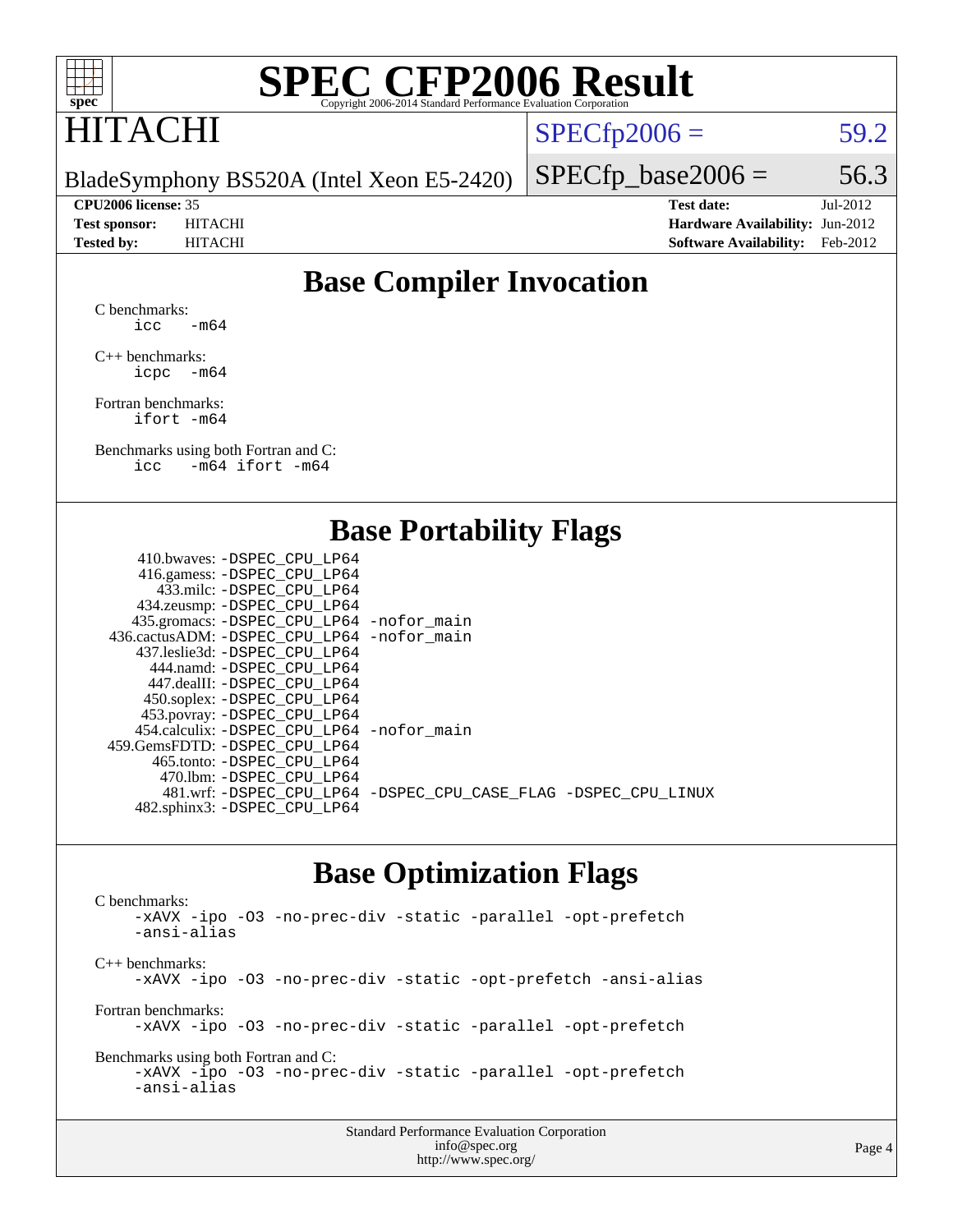

### HITACHI

 $SPECTp2006 = 59.2$ 

BladeSymphony BS520A (Intel Xeon E5-2420)

**[CPU2006 license:](http://www.spec.org/auto/cpu2006/Docs/result-fields.html#CPU2006license)** 35 **[Test date:](http://www.spec.org/auto/cpu2006/Docs/result-fields.html#Testdate)** Jul-2012 **[Test sponsor:](http://www.spec.org/auto/cpu2006/Docs/result-fields.html#Testsponsor)** HITACHI **[Hardware Availability:](http://www.spec.org/auto/cpu2006/Docs/result-fields.html#HardwareAvailability)** Jun-2012 **[Tested by:](http://www.spec.org/auto/cpu2006/Docs/result-fields.html#Testedby)** HITACHI **[Software Availability:](http://www.spec.org/auto/cpu2006/Docs/result-fields.html#SoftwareAvailability)** Feb-2012

 $SPECTp\_base2006 = 56.3$ 

### **[Base Compiler Invocation](http://www.spec.org/auto/cpu2006/Docs/result-fields.html#BaseCompilerInvocation)**

[C benchmarks](http://www.spec.org/auto/cpu2006/Docs/result-fields.html#Cbenchmarks):  $\text{icc}$  -m64

[C++ benchmarks:](http://www.spec.org/auto/cpu2006/Docs/result-fields.html#CXXbenchmarks) [icpc -m64](http://www.spec.org/cpu2006/results/res2012q3/cpu2006-20120703-23510.flags.html#user_CXXbase_intel_icpc_64bit_bedb90c1146cab66620883ef4f41a67e)

[Fortran benchmarks](http://www.spec.org/auto/cpu2006/Docs/result-fields.html#Fortranbenchmarks): [ifort -m64](http://www.spec.org/cpu2006/results/res2012q3/cpu2006-20120703-23510.flags.html#user_FCbase_intel_ifort_64bit_ee9d0fb25645d0210d97eb0527dcc06e)

[Benchmarks using both Fortran and C](http://www.spec.org/auto/cpu2006/Docs/result-fields.html#BenchmarksusingbothFortranandC): [icc -m64](http://www.spec.org/cpu2006/results/res2012q3/cpu2006-20120703-23510.flags.html#user_CC_FCbase_intel_icc_64bit_0b7121f5ab7cfabee23d88897260401c) [ifort -m64](http://www.spec.org/cpu2006/results/res2012q3/cpu2006-20120703-23510.flags.html#user_CC_FCbase_intel_ifort_64bit_ee9d0fb25645d0210d97eb0527dcc06e)

#### **[Base Portability Flags](http://www.spec.org/auto/cpu2006/Docs/result-fields.html#BasePortabilityFlags)**

| 410.bwaves: -DSPEC CPU LP64                 |                                                                |
|---------------------------------------------|----------------------------------------------------------------|
| 416.gamess: -DSPEC_CPU_LP64                 |                                                                |
| 433.milc: -DSPEC CPU LP64                   |                                                                |
| 434.zeusmp: -DSPEC_CPU_LP64                 |                                                                |
| 435.gromacs: -DSPEC_CPU_LP64 -nofor_main    |                                                                |
| 436.cactusADM: -DSPEC CPU LP64 -nofor main  |                                                                |
| 437.leslie3d: -DSPEC CPU LP64               |                                                                |
| 444.namd: - DSPEC CPU LP64                  |                                                                |
| 447.dealII: -DSPEC CPU LP64                 |                                                                |
| 450.soplex: -DSPEC_CPU_LP64                 |                                                                |
| 453.povray: -DSPEC_CPU_LP64                 |                                                                |
| 454.calculix: - DSPEC CPU LP64 - nofor main |                                                                |
| 459. GemsFDTD: - DSPEC CPU LP64             |                                                                |
| 465.tonto: - DSPEC CPU LP64                 |                                                                |
| 470.1bm: - DSPEC CPU LP64                   |                                                                |
|                                             | 481.wrf: -DSPEC CPU_LP64 -DSPEC_CPU_CASE_FLAG -DSPEC_CPU_LINUX |
| 482.sphinx3: -DSPEC_CPU_LP64                |                                                                |
|                                             |                                                                |

#### **[Base Optimization Flags](http://www.spec.org/auto/cpu2006/Docs/result-fields.html#BaseOptimizationFlags)**

[C benchmarks](http://www.spec.org/auto/cpu2006/Docs/result-fields.html#Cbenchmarks): [-xAVX](http://www.spec.org/cpu2006/results/res2012q3/cpu2006-20120703-23510.flags.html#user_CCbase_f-xAVX) [-ipo](http://www.spec.org/cpu2006/results/res2012q3/cpu2006-20120703-23510.flags.html#user_CCbase_f-ipo) [-O3](http://www.spec.org/cpu2006/results/res2012q3/cpu2006-20120703-23510.flags.html#user_CCbase_f-O3) [-no-prec-div](http://www.spec.org/cpu2006/results/res2012q3/cpu2006-20120703-23510.flags.html#user_CCbase_f-no-prec-div) [-static](http://www.spec.org/cpu2006/results/res2012q3/cpu2006-20120703-23510.flags.html#user_CCbase_f-static) [-parallel](http://www.spec.org/cpu2006/results/res2012q3/cpu2006-20120703-23510.flags.html#user_CCbase_f-parallel) [-opt-prefetch](http://www.spec.org/cpu2006/results/res2012q3/cpu2006-20120703-23510.flags.html#user_CCbase_f-opt-prefetch) [-ansi-alias](http://www.spec.org/cpu2006/results/res2012q3/cpu2006-20120703-23510.flags.html#user_CCbase_f-ansi-alias) [C++ benchmarks:](http://www.spec.org/auto/cpu2006/Docs/result-fields.html#CXXbenchmarks) [-xAVX](http://www.spec.org/cpu2006/results/res2012q3/cpu2006-20120703-23510.flags.html#user_CXXbase_f-xAVX) [-ipo](http://www.spec.org/cpu2006/results/res2012q3/cpu2006-20120703-23510.flags.html#user_CXXbase_f-ipo) [-O3](http://www.spec.org/cpu2006/results/res2012q3/cpu2006-20120703-23510.flags.html#user_CXXbase_f-O3) [-no-prec-div](http://www.spec.org/cpu2006/results/res2012q3/cpu2006-20120703-23510.flags.html#user_CXXbase_f-no-prec-div) [-static](http://www.spec.org/cpu2006/results/res2012q3/cpu2006-20120703-23510.flags.html#user_CXXbase_f-static) [-opt-prefetch](http://www.spec.org/cpu2006/results/res2012q3/cpu2006-20120703-23510.flags.html#user_CXXbase_f-opt-prefetch) [-ansi-alias](http://www.spec.org/cpu2006/results/res2012q3/cpu2006-20120703-23510.flags.html#user_CXXbase_f-ansi-alias) [Fortran benchmarks](http://www.spec.org/auto/cpu2006/Docs/result-fields.html#Fortranbenchmarks): [-xAVX](http://www.spec.org/cpu2006/results/res2012q3/cpu2006-20120703-23510.flags.html#user_FCbase_f-xAVX) [-ipo](http://www.spec.org/cpu2006/results/res2012q3/cpu2006-20120703-23510.flags.html#user_FCbase_f-ipo) [-O3](http://www.spec.org/cpu2006/results/res2012q3/cpu2006-20120703-23510.flags.html#user_FCbase_f-O3) [-no-prec-div](http://www.spec.org/cpu2006/results/res2012q3/cpu2006-20120703-23510.flags.html#user_FCbase_f-no-prec-div) [-static](http://www.spec.org/cpu2006/results/res2012q3/cpu2006-20120703-23510.flags.html#user_FCbase_f-static) [-parallel](http://www.spec.org/cpu2006/results/res2012q3/cpu2006-20120703-23510.flags.html#user_FCbase_f-parallel) [-opt-prefetch](http://www.spec.org/cpu2006/results/res2012q3/cpu2006-20120703-23510.flags.html#user_FCbase_f-opt-prefetch) [Benchmarks using both Fortran and C](http://www.spec.org/auto/cpu2006/Docs/result-fields.html#BenchmarksusingbothFortranandC): [-xAVX](http://www.spec.org/cpu2006/results/res2012q3/cpu2006-20120703-23510.flags.html#user_CC_FCbase_f-xAVX) [-ipo](http://www.spec.org/cpu2006/results/res2012q3/cpu2006-20120703-23510.flags.html#user_CC_FCbase_f-ipo) [-O3](http://www.spec.org/cpu2006/results/res2012q3/cpu2006-20120703-23510.flags.html#user_CC_FCbase_f-O3) [-no-prec-div](http://www.spec.org/cpu2006/results/res2012q3/cpu2006-20120703-23510.flags.html#user_CC_FCbase_f-no-prec-div) [-static](http://www.spec.org/cpu2006/results/res2012q3/cpu2006-20120703-23510.flags.html#user_CC_FCbase_f-static) [-parallel](http://www.spec.org/cpu2006/results/res2012q3/cpu2006-20120703-23510.flags.html#user_CC_FCbase_f-parallel) [-opt-prefetch](http://www.spec.org/cpu2006/results/res2012q3/cpu2006-20120703-23510.flags.html#user_CC_FCbase_f-opt-prefetch) [-ansi-alias](http://www.spec.org/cpu2006/results/res2012q3/cpu2006-20120703-23510.flags.html#user_CC_FCbase_f-ansi-alias)

| <b>Standard Performance Evaluation Corporation</b> |
|----------------------------------------------------|
| info@spec.org                                      |
| http://www.spec.org/                               |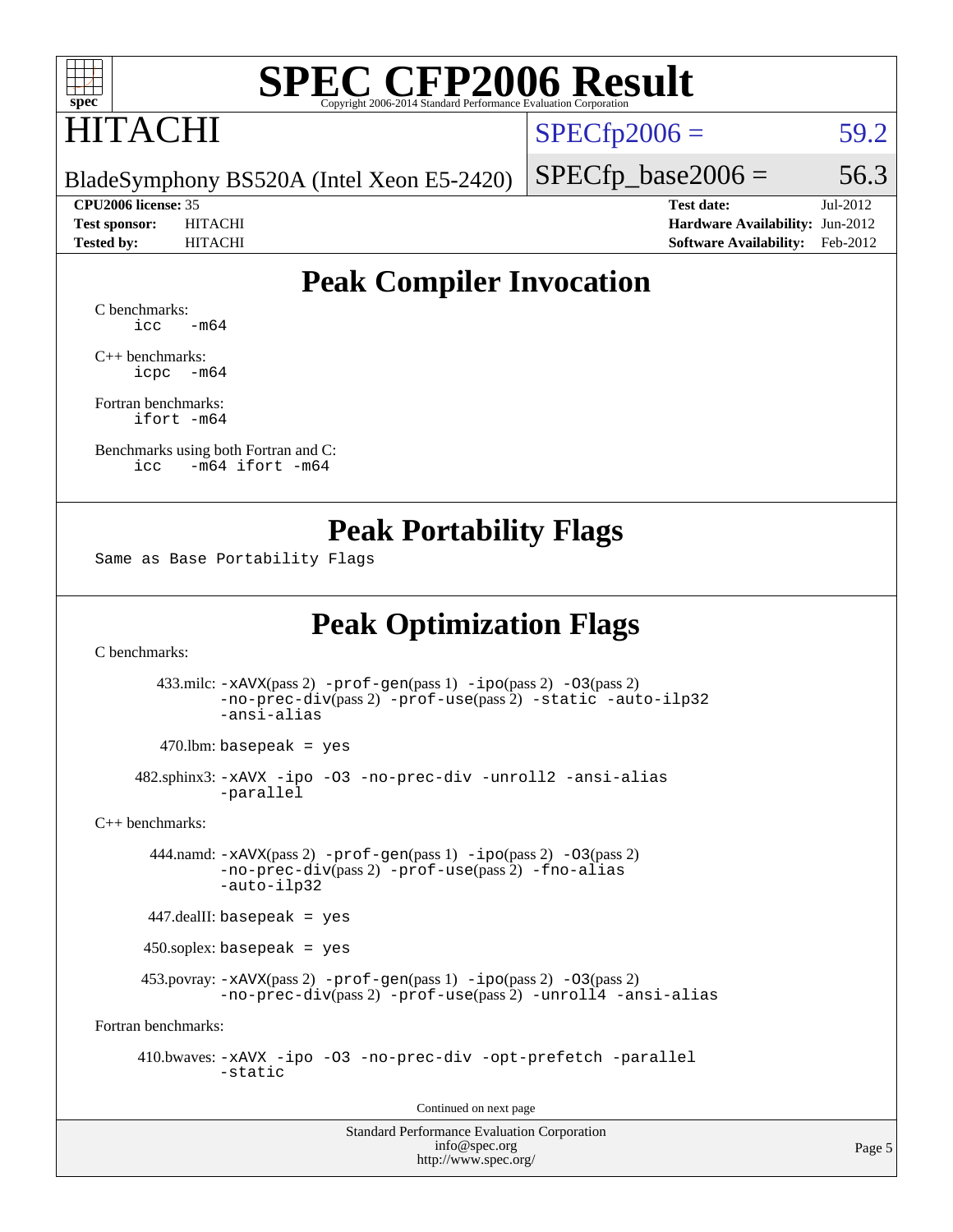

## HITACHI

 $SPECTp2006 = 59.2$ 

BladeSymphony BS520A (Intel Xeon E5-2420)

**[CPU2006 license:](http://www.spec.org/auto/cpu2006/Docs/result-fields.html#CPU2006license)** 35 **[Test date:](http://www.spec.org/auto/cpu2006/Docs/result-fields.html#Testdate)** Jul-2012 **[Test sponsor:](http://www.spec.org/auto/cpu2006/Docs/result-fields.html#Testsponsor)** HITACHI **[Hardware Availability:](http://www.spec.org/auto/cpu2006/Docs/result-fields.html#HardwareAvailability)** Jun-2012 **[Tested by:](http://www.spec.org/auto/cpu2006/Docs/result-fields.html#Testedby)** HITACHI **[Software Availability:](http://www.spec.org/auto/cpu2006/Docs/result-fields.html#SoftwareAvailability)** Feb-2012

 $SPECTp\_base2006 = 56.3$ 

### **[Peak Compiler Invocation](http://www.spec.org/auto/cpu2006/Docs/result-fields.html#PeakCompilerInvocation)**

[C benchmarks](http://www.spec.org/auto/cpu2006/Docs/result-fields.html#Cbenchmarks):  $\text{icc}$   $-\text{m64}$ 

[C++ benchmarks:](http://www.spec.org/auto/cpu2006/Docs/result-fields.html#CXXbenchmarks) [icpc -m64](http://www.spec.org/cpu2006/results/res2012q3/cpu2006-20120703-23510.flags.html#user_CXXpeak_intel_icpc_64bit_bedb90c1146cab66620883ef4f41a67e)

[Fortran benchmarks](http://www.spec.org/auto/cpu2006/Docs/result-fields.html#Fortranbenchmarks): [ifort -m64](http://www.spec.org/cpu2006/results/res2012q3/cpu2006-20120703-23510.flags.html#user_FCpeak_intel_ifort_64bit_ee9d0fb25645d0210d97eb0527dcc06e)

[Benchmarks using both Fortran and C](http://www.spec.org/auto/cpu2006/Docs/result-fields.html#BenchmarksusingbothFortranandC): [icc -m64](http://www.spec.org/cpu2006/results/res2012q3/cpu2006-20120703-23510.flags.html#user_CC_FCpeak_intel_icc_64bit_0b7121f5ab7cfabee23d88897260401c) [ifort -m64](http://www.spec.org/cpu2006/results/res2012q3/cpu2006-20120703-23510.flags.html#user_CC_FCpeak_intel_ifort_64bit_ee9d0fb25645d0210d97eb0527dcc06e)

#### **[Peak Portability Flags](http://www.spec.org/auto/cpu2006/Docs/result-fields.html#PeakPortabilityFlags)**

Same as Base Portability Flags

### **[Peak Optimization Flags](http://www.spec.org/auto/cpu2006/Docs/result-fields.html#PeakOptimizationFlags)**

[C benchmarks](http://www.spec.org/auto/cpu2006/Docs/result-fields.html#Cbenchmarks):

 433.milc: [-xAVX](http://www.spec.org/cpu2006/results/res2012q3/cpu2006-20120703-23510.flags.html#user_peakPASS2_CFLAGSPASS2_LDFLAGS433_milc_f-xAVX)(pass 2) [-prof-gen](http://www.spec.org/cpu2006/results/res2012q3/cpu2006-20120703-23510.flags.html#user_peakPASS1_CFLAGSPASS1_LDFLAGS433_milc_prof_gen_e43856698f6ca7b7e442dfd80e94a8fc)(pass 1) [-ipo](http://www.spec.org/cpu2006/results/res2012q3/cpu2006-20120703-23510.flags.html#user_peakPASS2_CFLAGSPASS2_LDFLAGS433_milc_f-ipo)(pass 2) [-O3](http://www.spec.org/cpu2006/results/res2012q3/cpu2006-20120703-23510.flags.html#user_peakPASS2_CFLAGSPASS2_LDFLAGS433_milc_f-O3)(pass 2) [-no-prec-div](http://www.spec.org/cpu2006/results/res2012q3/cpu2006-20120703-23510.flags.html#user_peakPASS2_CFLAGSPASS2_LDFLAGS433_milc_f-no-prec-div)(pass 2) [-prof-use](http://www.spec.org/cpu2006/results/res2012q3/cpu2006-20120703-23510.flags.html#user_peakPASS2_CFLAGSPASS2_LDFLAGS433_milc_prof_use_bccf7792157ff70d64e32fe3e1250b55)(pass 2) [-static](http://www.spec.org/cpu2006/results/res2012q3/cpu2006-20120703-23510.flags.html#user_peakOPTIMIZE433_milc_f-static) [-auto-ilp32](http://www.spec.org/cpu2006/results/res2012q3/cpu2006-20120703-23510.flags.html#user_peakCOPTIMIZE433_milc_f-auto-ilp32) [-ansi-alias](http://www.spec.org/cpu2006/results/res2012q3/cpu2006-20120703-23510.flags.html#user_peakCOPTIMIZE433_milc_f-ansi-alias)

 $470.$ lbm: basepeak = yes

 482.sphinx3: [-xAVX](http://www.spec.org/cpu2006/results/res2012q3/cpu2006-20120703-23510.flags.html#user_peakOPTIMIZE482_sphinx3_f-xAVX) [-ipo](http://www.spec.org/cpu2006/results/res2012q3/cpu2006-20120703-23510.flags.html#user_peakOPTIMIZE482_sphinx3_f-ipo) [-O3](http://www.spec.org/cpu2006/results/res2012q3/cpu2006-20120703-23510.flags.html#user_peakOPTIMIZE482_sphinx3_f-O3) [-no-prec-div](http://www.spec.org/cpu2006/results/res2012q3/cpu2006-20120703-23510.flags.html#user_peakOPTIMIZE482_sphinx3_f-no-prec-div) [-unroll2](http://www.spec.org/cpu2006/results/res2012q3/cpu2006-20120703-23510.flags.html#user_peakCOPTIMIZE482_sphinx3_f-unroll_784dae83bebfb236979b41d2422d7ec2) [-ansi-alias](http://www.spec.org/cpu2006/results/res2012q3/cpu2006-20120703-23510.flags.html#user_peakCOPTIMIZE482_sphinx3_f-ansi-alias) [-parallel](http://www.spec.org/cpu2006/results/res2012q3/cpu2006-20120703-23510.flags.html#user_peakCOPTIMIZE482_sphinx3_f-parallel)

[C++ benchmarks:](http://www.spec.org/auto/cpu2006/Docs/result-fields.html#CXXbenchmarks)

 444.namd: [-xAVX](http://www.spec.org/cpu2006/results/res2012q3/cpu2006-20120703-23510.flags.html#user_peakPASS2_CXXFLAGSPASS2_LDFLAGS444_namd_f-xAVX)(pass 2) [-prof-gen](http://www.spec.org/cpu2006/results/res2012q3/cpu2006-20120703-23510.flags.html#user_peakPASS1_CXXFLAGSPASS1_LDFLAGS444_namd_prof_gen_e43856698f6ca7b7e442dfd80e94a8fc)(pass 1) [-ipo](http://www.spec.org/cpu2006/results/res2012q3/cpu2006-20120703-23510.flags.html#user_peakPASS2_CXXFLAGSPASS2_LDFLAGS444_namd_f-ipo)(pass 2) [-O3](http://www.spec.org/cpu2006/results/res2012q3/cpu2006-20120703-23510.flags.html#user_peakPASS2_CXXFLAGSPASS2_LDFLAGS444_namd_f-O3)(pass 2) [-no-prec-div](http://www.spec.org/cpu2006/results/res2012q3/cpu2006-20120703-23510.flags.html#user_peakPASS2_CXXFLAGSPASS2_LDFLAGS444_namd_f-no-prec-div)(pass 2) [-prof-use](http://www.spec.org/cpu2006/results/res2012q3/cpu2006-20120703-23510.flags.html#user_peakPASS2_CXXFLAGSPASS2_LDFLAGS444_namd_prof_use_bccf7792157ff70d64e32fe3e1250b55)(pass 2) [-fno-alias](http://www.spec.org/cpu2006/results/res2012q3/cpu2006-20120703-23510.flags.html#user_peakCXXOPTIMIZEOPTIMIZE444_namd_f-no-alias_694e77f6c5a51e658e82ccff53a9e63a) [-auto-ilp32](http://www.spec.org/cpu2006/results/res2012q3/cpu2006-20120703-23510.flags.html#user_peakCXXOPTIMIZE444_namd_f-auto-ilp32)

447.dealII: basepeak = yes

450.soplex: basepeak = yes

 453.povray: [-xAVX](http://www.spec.org/cpu2006/results/res2012q3/cpu2006-20120703-23510.flags.html#user_peakPASS2_CXXFLAGSPASS2_LDFLAGS453_povray_f-xAVX)(pass 2) [-prof-gen](http://www.spec.org/cpu2006/results/res2012q3/cpu2006-20120703-23510.flags.html#user_peakPASS1_CXXFLAGSPASS1_LDFLAGS453_povray_prof_gen_e43856698f6ca7b7e442dfd80e94a8fc)(pass 1) [-ipo](http://www.spec.org/cpu2006/results/res2012q3/cpu2006-20120703-23510.flags.html#user_peakPASS2_CXXFLAGSPASS2_LDFLAGS453_povray_f-ipo)(pass 2) [-O3](http://www.spec.org/cpu2006/results/res2012q3/cpu2006-20120703-23510.flags.html#user_peakPASS2_CXXFLAGSPASS2_LDFLAGS453_povray_f-O3)(pass 2) [-no-prec-div](http://www.spec.org/cpu2006/results/res2012q3/cpu2006-20120703-23510.flags.html#user_peakPASS2_CXXFLAGSPASS2_LDFLAGS453_povray_f-no-prec-div)(pass 2) [-prof-use](http://www.spec.org/cpu2006/results/res2012q3/cpu2006-20120703-23510.flags.html#user_peakPASS2_CXXFLAGSPASS2_LDFLAGS453_povray_prof_use_bccf7792157ff70d64e32fe3e1250b55)(pass 2) [-unroll4](http://www.spec.org/cpu2006/results/res2012q3/cpu2006-20120703-23510.flags.html#user_peakCXXOPTIMIZE453_povray_f-unroll_4e5e4ed65b7fd20bdcd365bec371b81f) [-ansi-alias](http://www.spec.org/cpu2006/results/res2012q3/cpu2006-20120703-23510.flags.html#user_peakCXXOPTIMIZE453_povray_f-ansi-alias)

[Fortran benchmarks](http://www.spec.org/auto/cpu2006/Docs/result-fields.html#Fortranbenchmarks):

 410.bwaves: [-xAVX](http://www.spec.org/cpu2006/results/res2012q3/cpu2006-20120703-23510.flags.html#user_peakOPTIMIZE410_bwaves_f-xAVX) [-ipo](http://www.spec.org/cpu2006/results/res2012q3/cpu2006-20120703-23510.flags.html#user_peakOPTIMIZE410_bwaves_f-ipo) [-O3](http://www.spec.org/cpu2006/results/res2012q3/cpu2006-20120703-23510.flags.html#user_peakOPTIMIZE410_bwaves_f-O3) [-no-prec-div](http://www.spec.org/cpu2006/results/res2012q3/cpu2006-20120703-23510.flags.html#user_peakOPTIMIZE410_bwaves_f-no-prec-div) [-opt-prefetch](http://www.spec.org/cpu2006/results/res2012q3/cpu2006-20120703-23510.flags.html#user_peakOPTIMIZE410_bwaves_f-opt-prefetch) [-parallel](http://www.spec.org/cpu2006/results/res2012q3/cpu2006-20120703-23510.flags.html#user_peakOPTIMIZE410_bwaves_f-parallel) [-static](http://www.spec.org/cpu2006/results/res2012q3/cpu2006-20120703-23510.flags.html#user_peakOPTIMIZE410_bwaves_f-static)

Continued on next page

Standard Performance Evaluation Corporation [info@spec.org](mailto:info@spec.org) <http://www.spec.org/>